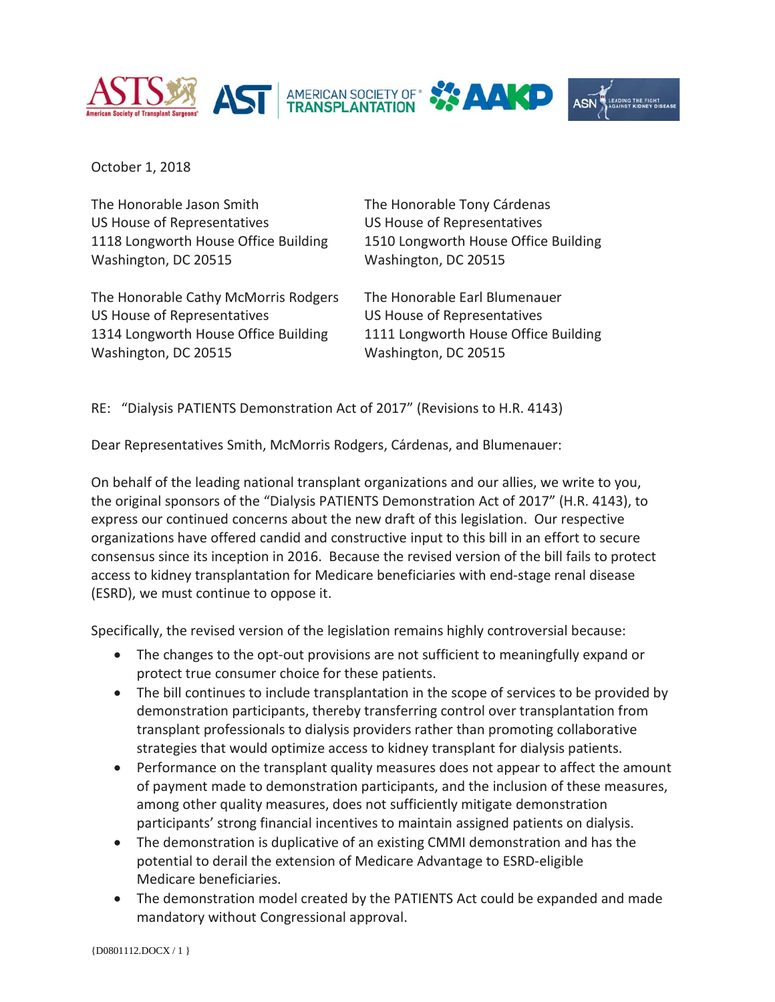



October 1, 2018

The Honorable Jason Smith The Honorable Tony Cárdenas US House of Representatives US House of Representatives 1118 Longworth House Office Building 1510 Longworth House Office Building Washington, DC 20515 Washington, DC 20515

The Honorable Cathy McMorris Rodgers The Honorable Earl Blumenauer US House of Representatives US House of Representatives 1314 Longworth House Office Building 1111 Longworth House Office Building Washington, DC 20515 Washington, DC 20515

RE: "Dialysis PATIENTS Demonstration Act of 2017" (Revisions to H.R. 4143)

Dear Representatives Smith, McMorris Rodgers, Cárdenas, and Blumenauer:

On behalf of the leading national transplant organizations and our allies, we write to you, the original sponsors of the "Dialysis PATIENTS Demonstration Act of 2017" (H.R. 4143), to express our continued concerns about the new draft of this legislation. Our respective organizations have offered candid and constructive input to this bill in an effort to secure consensus since its inception in 2016. Because the revised version of the bill fails to protect access to kidney transplantation for Medicare beneficiaries with end-stage renal disease (ESRD), we must continue to oppose it.

Specifically, the revised version of the legislation remains highly controversial because:

- The changes to the opt-out provisions are not sufficient to meaningfully expand or protect true consumer choice for these patients.
- The bill continues to include transplantation in the scope of services to be provided by demonstration participants, thereby transferring control over transplantation from transplant professionals to dialysis providers rather than promoting collaborative strategies that would optimize access to kidney transplant for dialysis patients.
- Performance on the transplant quality measures does not appear to affect the amount of payment made to demonstration participants, and the inclusion of these measures, among other quality measures, does not sufficiently mitigate demonstration participants' strong financial incentives to maintain assigned patients on dialysis.
- The demonstration is duplicative of an existing CMMI demonstration and has the potential to derail the extension of Medicare Advantage to ESRD-eligible Medicare beneficiaries.
- The demonstration model created by the PATIENTS Act could be expanded and made mandatory without Congressional approval.